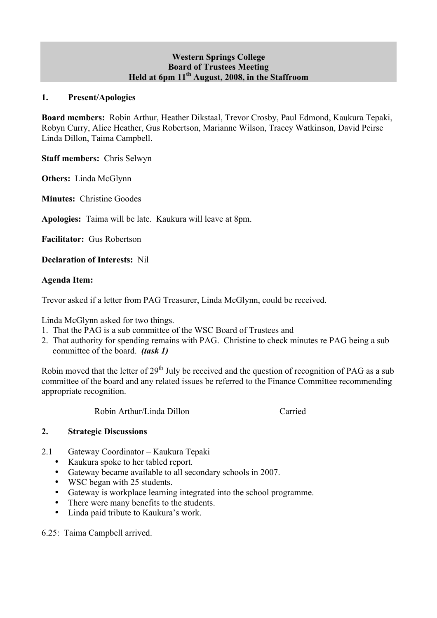### **Western Springs College Board of Trustees Meeting Held at 6pm 11th August, 2008, in the Staffroom**

#### **1. Present/Apologies**

**Board members:** Robin Arthur, Heather Dikstaal, Trevor Crosby, Paul Edmond, Kaukura Tepaki, Robyn Curry, Alice Heather, Gus Robertson, Marianne Wilson, Tracey Watkinson, David Peirse Linda Dillon, Taima Campbell.

**Staff members:** Chris Selwyn

**Others:** Linda McGlynn

**Minutes:** Christine Goodes

**Apologies:** Taima will be late. Kaukura will leave at 8pm.

**Facilitator:** Gus Robertson

**Declaration of Interests:** Nil

### **Agenda Item:**

Trevor asked if a letter from PAG Treasurer, Linda McGlynn, could be received.

Linda McGlynn asked for two things.

- 1. That the PAG is a sub committee of the WSC Board of Trustees and
- 2. That authority for spending remains with PAG. Christine to check minutes re PAG being a sub committee of the board. *(task 1)*

Robin moved that the letter of  $29<sup>th</sup>$  July be received and the question of recognition of PAG as a sub committee of the board and any related issues be referred to the Finance Committee recommending appropriate recognition.

Robin Arthur/Linda Dillon Carried

#### **2. Strategic Discussions**

- 2.1 Gateway Coordinator Kaukura Tepaki
	- Kaukura spoke to her tabled report.
	- Gateway became available to all secondary schools in 2007.
	- WSC began with 25 students.
	- Gateway is workplace learning integrated into the school programme.
	- There were many benefits to the students.
	- Linda paid tribute to Kaukura's work.

6.25: Taima Campbell arrived.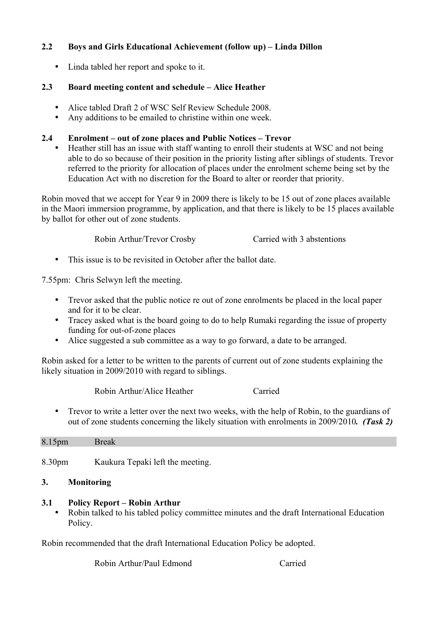# **2.2 Boys and Girls Educational Achievement (follow up) – Linda Dillon**

• Linda tabled her report and spoke to it.

# **2.3 Board meeting content and schedule – Alice Heather**

- Alice tabled Draft 2 of WSC Self Review Schedule 2008.
- Any additions to be emailed to christine within one week.

# **2.4 Enrolment – out of zone places and Public Notices – Trevor**

• Heather still has an issue with staff wanting to enroll their students at WSC and not being able to do so because of their position in the priority listing after siblings of students. Trevor referred to the priority for allocation of places under the enrolment scheme being set by the Education Act with no discretion for the Board to alter or reorder that priority.

Robin moved that we accept for Year 9 in 2009 there is likely to be 15 out of zone places available in the Maori immersion programme, by application, and that there is likely to be 15 places available by ballot for other out of zone students.

Robin Arthur/Trevor Crosby Carried with 3 abstentions

• This issue is to be revisited in October after the ballot date.

7.55pm: Chris Selwyn left the meeting.

- Trevor asked that the public notice re out of zone enrolments be placed in the local paper and for it to be clear.
- Tracey asked what is the board going to do to help Rumaki regarding the issue of property funding for out-of-zone places
- Alice suggested a sub committee as a way to go forward, a date to be arranged.

Robin asked for a letter to be written to the parents of current out of zone students explaining the likely situation in 2009/2010 with regard to siblings.

Robin Arthur/Alice Heather Carried

• Trevor to write a letter over the next two weeks, with the help of Robin, to the guardians of out of zone students concerning the likely situation with enrolments in 2009/2010*. (Task 2)*

| 8.15pm | <b>Break</b>                     |  |
|--------|----------------------------------|--|
|        |                                  |  |
|        |                                  |  |
| 8.30pm | Kaukura Tepaki left the meeting. |  |

# **3. Monitoring**

# **3.1 Policy Report – Robin Arthur**

• Robin talked to his tabled policy committee minutes and the draft International Education Policy.

Robin recommended that the draft International Education Policy be adopted.

Robin Arthur/Paul Edmond Carried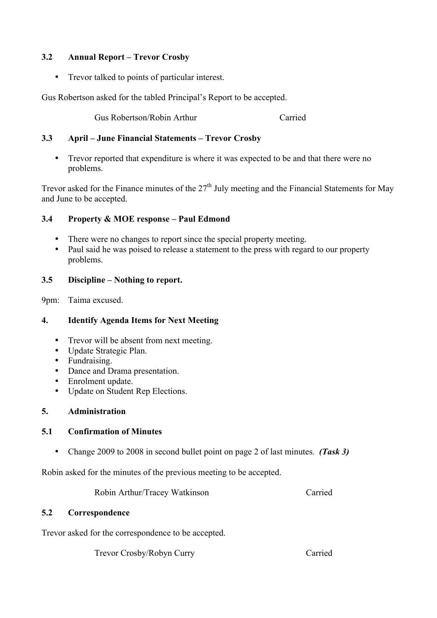# **3.2 Annual Report – Trevor Crosby**

• Trevor talked to points of particular interest.

Gus Robertson asked for the tabled Principal's Report to be accepted.

Gus Robertson/Robin Arthur Carried

# **3.3 April – June Financial Statements – Trevor Crosby**

• Trevor reported that expenditure is where it was expected to be and that there were no problems.

Trevor asked for the Finance minutes of the  $27<sup>th</sup>$  July meeting and the Financial Statements for May and June to be accepted.

# **3.4 Property & MOE response – Paul Edmond**

- There were no changes to report since the special property meeting.<br>• Paul said he was poised to release a statement to the press with regar
- Paul said he was poised to release a statement to the press with regard to our property problems.

# **3.5 Discipline – Nothing to report.**

9pm: Taima excused.

# **4. Identify Agenda Items for Next Meeting**

- Trevor will be absent from next meeting.
- Update Strategic Plan.
- Fundraising.
- Dance and Drama presentation.
- Enrolment update.<br>• Undate on Student
- Update on Student Rep Elections.

# **5. Administration**

# **5.1 Confirmation of Minutes**

• Change 2009 to 2008 in second bullet point on page 2 of last minutes. *(Task 3)*

Robin asked for the minutes of the previous meeting to be accepted.

Robin Arthur/Tracey Watkinson Carried

# **5.2 Correspondence**

Trevor asked for the correspondence to be accepted.

Trevor Crosby/Robyn Curry Carried